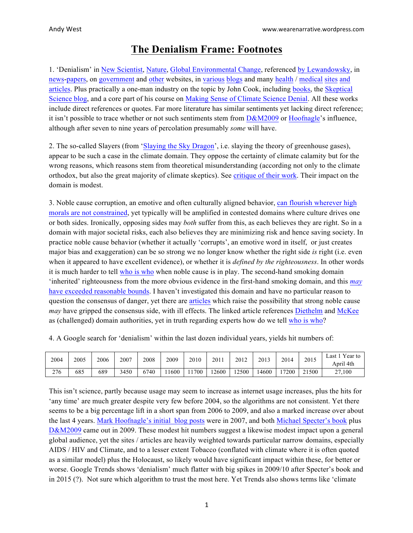## **The Denialism Frame: Footnotes**

1. 'Denialism' in [New Scientist](http://sci-hub.io/http:/www.sciencedirect.com/science/article/pii/S0262407910612110), [Nature](http://sci-hub.io/http:/www.nature.com/nature/journal/v464/n7289/full/464673a.html), [Global Environmental Change](http://sci-hub.io/http:/www.sciencedirect.com/science/article/pii/S095937801100104X), referenced [by Lewandowsky](http://journals.plos.org/plosone/article?id=10.1371/journal.pone.0075637), in [news](http://www.theguardian.com/environment/climate-consensus-97-per-cent/2013/may/28/global-warming-consensus-climate-denialism-characteristics)[-papers](http://www.haaretz.com/blogs/west-of-eden/.premium-1.680466), on [government](https://www.opr.ca.gov/s_denier.php) and [other](http://ncse.com/climate/denial/why-is-it-called-denial) websites, in [various](https://www.samharris.org/forum/viewthread/49918/) [blogs](http://www.boomerwarrior.org/2015/05/five-characteristics-of-climate-science-denial/) and many health / [medical](http://circleofdocs.com/the-spreading-cancer-of-subluxation-denialism/) [sites](http://civicmediaclass.mit.edu/wp-content/uploads/sites/11/2015/05/denialism-paper.pdf) [and](http://www.medact.org/medact-blog/dr-david-mccoy-science-climate-denialism/) [articles](http://www.amazon.co.uk/Mental-Health-Practitioners-Guide-AIDS/dp/1461452821/). Plus practically a one-man industry on the topic by John Cook, including [books](http://www.amazon.co.uk/Climate-Change-Science-Synthesis-Physical-ebook/dp/B00BLSECAY/), the [Skeptical](http://www.skepticalscience.com/news.php?p=4&t=155&&n=161) [Science blog](http://www.skepticalscience.com/news.php?p=4&t=155&&n=161), and a core part of his course on [Making Sense of Climate Science Denial](https://www.edx.org/course/making-sense-climate-science-denial-uqx-denial101x-0). All these works include direct references or quotes. Far more literature has similar sentiments yet lacking direct reference; it isn't possible to trace whether or not such sentiments stem from  $D&M2009$  or [Hoofnagle](https://en.wikipedia.org/wiki/Mark_Hoofnagle)'s influence, although after seven to nine years of percolation presumably *some* will have.

2. The so-called Slayers (from ['Slaying the Sky](http://www.amazon.com/Slaying-Sky-Dragon-Greenhouse-Theory-ebook/dp/B004DNWJN6) Dragon', i.e. slaying the theory of greenhouse gases), appear to be such a case in the climate domain. They oppose the certainty of climate calamity but for the wrong reasons, which reasons stem from theoretical misunderstanding (according not only to the climate orthodox, but also the great majority of climate skeptics). See [critique of their work](http://joannenova.com.au/2012/10/a-discussion-of-the-slaying-the-sky-dragon-science-is-the-greenhouse-effect-a-sky-dragon-myth/). Their impact on the domain is modest.

3. Noble cause corruption, an emotive and often culturally aligned behavior, [can flourish wherever](http://www.ipa.org.au/publications/1255/misbehaving-models-and-missing-mammals) high [morals are not constrained](http://www.ipa.org.au/publications/1255/misbehaving-models-and-missing-mammals), yet typically will be amplified in contested domains where culture drives one or both sides. Ironically, opposing sides may *both* suffer from this, as each believes they are right. So in a domain with major societal risks, each also believes they are minimizing risk and hence saving society. In practice noble cause behavior (whether it actually 'corrupts', an emotive word in itself, or just creates major bias and exaggeration) can be so strong we no longer know whether the right side *is* right (i.e. even when it appeared to have excellent evidence), or whether it is *defined by the righteousness*. In other words it is much harder to tell [who is who](https://curryja.files.wordpress.com/2015/11/who-is-who-aux-file.docx) when noble cause is in play. The second-hand smoking domain 'inherited' righteousness from the more obvious evidence in the first-hand smoking domain, and this *[may](http://pus.sagepub.com/content/14/1/5.abstract)* [have exceeded reasonable bounds](http://pus.sagepub.com/content/14/1/5.abstract). I haven't investigated this domain and have no particular reason to question the consensus of danger, yet there are [articles](http://tobaccoanalysis.blogspot.co.uk/2009/02/response-to-article-comparing.html) which raise the possibility that strong noble cause *may* have gripped the consensus side, with ill effects. The linked article references [Diethelm](https://translate.google.co.uk/translate?hl=en&sl=fr&u=https://fr.wikipedia.org/wiki/Pascal_Diethelm&prev=search) and [McKee](https://en.wikipedia.org/wiki/Martin_McKee) as (challenged) domain authorities, yet in truth regarding experts how do we tell [who is who](https://curryja.files.wordpress.com/2015/11/who-is-who-aux-file.docx)?

4. A Google search for 'denialism' within the last dozen individual years, yields hit numbers of:

| 2004 | 2005 | 2006 | 2007 | 2008 | 2009 | 2010 | 2011  | 2012  | 2013  | 2014 | 2015  | $\gamma$ Year to<br>Last 1<br>April 4th |
|------|------|------|------|------|------|------|-------|-------|-------|------|-------|-----------------------------------------|
| 276  | 685  | 689  | 3450 | 6740 | 1600 | 1700 | 12600 | 12500 | 14600 | 7200 | 21500 | $^{\prime}$ ,100<br>ጎግ<br>$\angle$ /    |

This isn't science, partly because usage may seem to increase as internet usage increases, plus the hits for 'any time' are much greater despite very few before 2004, so the algorithms are not consistent. Yet there seems to be a big percentage lift in a short span from 2006 to 2009, and also a marked increase over about the last 4 years. [Mark Hoofnagle's initial blog](http://scienceblogs.com/denialism/about/) posts were in 2007, and both [Michael Specter's book](http://www.amazon.com/Denialism-Irrational-Thinking-Scientific-Progress/dp/1594202303) plus [D&M2009](http://eurpub.oxfordjournals.org/content/19/1/2) came out in 2009. These modest hit numbers suggest a likewise modest impact upon a general global audience, yet the sites / articles are heavily weighted towards particular narrow domains, especially AIDS / HIV and Climate, and to a lesser extent Tobacco (conflated with climate where it is often quoted as a similar model) plus the Holocaust, so likely would have significant impact within these, for better or worse. Google Trends shows 'denialism' much flatter with big spikes in 2009/10 after Specter's book and in 2015 (?). Not sure which algorithm to trust the most here. Yet Trends also shows terms like 'climate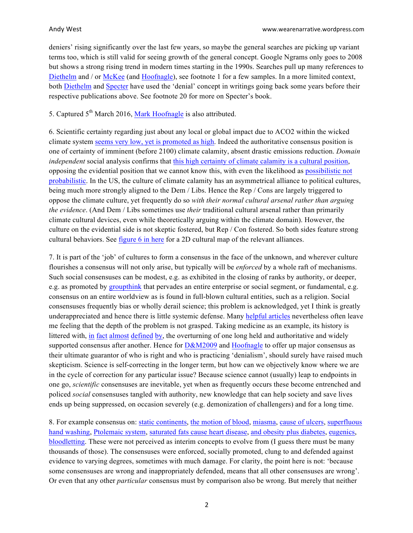deniers' rising significantly over the last few years, so maybe the general searches are picking up variant terms too, which is still valid for seeing growth of the general concept. Google Ngrams only goes to 2008 but shows a strong rising trend in modern times starting in the 1990s. Searches pull up many references to [Diethelm](https://translate.google.co.uk/translate?hl=en&sl=fr&u=https://fr.wikipedia.org/wiki/Pascal_Diethelm&prev=search) and / or [McKee](https://en.wikipedia.org/wiki/Martin_McKee) (and [Hoofnagle](https://en.wikipedia.org/wiki/Mark_Hoofnagle)), see footnote 1 for a few samples. In a more limited context, both [Diethelm](https://translate.google.co.uk/translate?hl=en&sl=fr&u=https://fr.wikipedia.org/wiki/Pascal_Diethelm&prev=search) and [Specter](https://en.wikipedia.org/wiki/Michael_Specter) have used the 'denial' concept in writings going back some years before their respective publications above. See footnote 20 for more on Specter's book.

5. Captured  $5<sup>th</sup>$  March 2016, [Mark Hoofnagle](https://en.wikipedia.org/wiki/Mark_Hoofnagle) is also attributed.

6. Scientific certainty regarding just about any local or global impact due to ACO2 within the wicked climate system [seems very low, yet is promoted as high](https://judithcurry.com/2015/10/11/a-perspective-on-uncertainty-and-climate-science/). Indeed the authoritative consensus position is one of certainty of imminent (before 2100) climate calamity, absent drastic emissions reduction. *Domain independent* social analysis confirms that this [high certainty of climate calamity is a cultural position](https://curryja.files.wordpress.com/2015/11/who-is-who-aux-file.docx), opposing the evidential position that we cannot know this, with even the likelihood as [possibilistic not](http://judithcurry.com/2014/04/18/worst-case-scenario-versus-fat-tail/) [probabilistic](http://judithcurry.com/2014/04/18/worst-case-scenario-versus-fat-tail/). In the US, the culture of climate calamity has an asymmetrical alliance to political cultures, being much more strongly aligned to the Dem / Libs. Hence the Rep / Cons are largely triggered to oppose the climate culture, yet frequently do so *with their normal cultural arsenal rather than arguing the evidence*. (And Dem / Libs sometimes use *their* traditional cultural arsenal rather than primarily climate cultural devices, even while theoretically arguing within the climate domain). However, the culture on the evidential side is not skeptic fostered, but Rep / Con fostered. So both sides feature strong cultural behaviors. See [figure 6 in here](https://curryja.files.wordpress.com/2015/11/who-is-who-aux-file.docx) for a 2D cultural map of the relevant alliances.

7. It is part of the 'job' of cultures to form a consensus in the face of the unknown, and wherever culture flourishes a consensus will not only arise, but typically will be *enforced* by a whole raft of mechanisms. Such social consensuses can be modest, e.g. as exhibited in the closing of ranks by authority, or deeper, e.g. as promoted by [groupthink](http://psychology.about.com/od/gindex/g/groupthink.htm) that pervades an entire enterprise or social segment, or fundamental, e.g. consensus on an entire worldview as is found in full-blown cultural entities, such as a religion. Social consensuses frequently bias or wholly derail science; this problem is acknowledged, yet I think is greatly underappreciated and hence there is little systemic defense. Many [helpful articles](https://judithcurry.com/2014/09/18/distinguishing-the-academic-from-the-interface-consensus/) nevertheless often leave me feeling that the depth of the problem is not grasped. Taking medicine as an example, its history is littered with, [in](http://history-world.org/harvey_discovers_the_circulation.htm) [fact](https://en.wikipedia.org/wiki/Ignaz_Semmelweis) [almost](http://www.jyi.org/issue/delayed-gratification-why-it-took-everybody-so-long-to-acknowledge-that-bacteria-cause-ulcers/) [defined](http://www.sott.net/article/242516-Heart-surgeon-speaks-out-on-what-really-causes-heart-disease) [by](http://phenomena.nationalgeographic.com/2015/10/27/bloodletting-is-still-happening-despite-centuries-of-harm/), the overturning of one long held and authoritative and widely supported consensus after another. Hence for  $D\&M2009$  and [Hoofnagle](http://scienceblogs.com/denialism/about/) to offer up major consensus as their ultimate guarantor of who is right and who is practicing 'denialism', should surely have raised much skepticism. Science is self-correcting in the longer term, but how can we objectively know where we are in the cycle of correction for any particular issue? Because science cannot (usually) leap to endpoints in one go, *scientific* consensuses are inevitable, yet when as frequently occurs these become entrenched and policed *social* consensuses tangled with authority, new knowledge that can help society and save lives ends up being suppressed, on occasion severely (e.g. demonization of challengers) and for a long time.

8. For example consensus on: [static continents](http://www.smithsonianmag.com/science-nature/when-continental-drift-was-considered-pseudoscience-90353214/), [the motion of](http://history-world.org/harvey_discovers_the_circulation.htm) blood, [miasma](https://en.wikipedia.org/wiki/Miasma_theory), [cause of ulcers](http://www.jyi.org/issue/delayed-gratification-why-it-took-everybody-so-long-to-acknowledge-that-bacteria-cause-ulcers/), [superfluous](http://www.jyi.org/issue/delayed-gratification-why-it-took-everybody-so-long-to-acknowledge-that-bacteria-cause-ulcers/) [hand washing](http://www.jyi.org/issue/delayed-gratification-why-it-took-everybody-so-long-to-acknowledge-that-bacteria-cause-ulcers/), [Ptolemaic system](https://en.wikipedia.org/wiki/Ptolemaic_system), [saturated fats cause heart disease](http://www.sott.net/article/242516-Heart-surgeon-speaks-out-on-what-really-causes-heart-disease), [and obesity plus diabetes](http://www.theguardian.com/society/2016/apr/07/the-sugar-conspiracy-robert-lustig-john-yudkin), [eugenics](http://www.newstatesman.com/society/2010/12/disabled-america-immigration), [bloodletting](http://phenomena.nationalgeographic.com/2015/10/27/bloodletting-is-still-happening-despite-centuries-of-harm/). These were not perceived as interim concepts to evolve from (I guess there must be many thousands of those). The consensuses were enforced, socially promoted, clung to and defended against evidence to varying degrees, sometimes with much damage. For clarity, the point here is not: 'because some consensuses are wrong and inappropriately defended, means that all other consensuses are wrong'. Or even that any other *particular* consensus must by comparison also be wrong. But merely that neither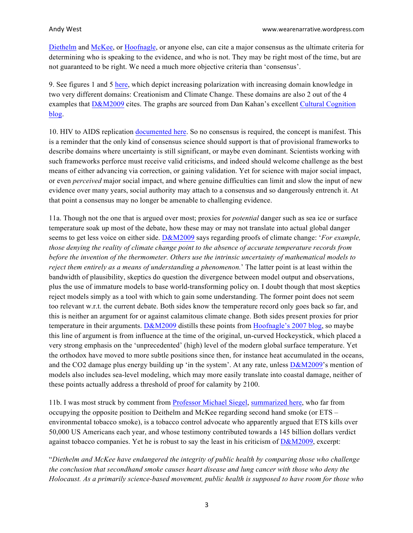[Diethelm](https://translate.google.co.uk/translate?hl=en&sl=fr&u=https://fr.wikipedia.org/wiki/Pascal_Diethelm&prev=search) and [McKee](https://en.wikipedia.org/wiki/Martin_McKee), or [Hoofnagle](https://en.wikipedia.org/wiki/Mark_Hoofnagle), or anyone else, can cite a major consensus as the ultimate criteria for determining who is speaking to the evidence, and who is not. They may be right most of the time, but are not guaranteed to be right. We need a much more objective criteria than 'consensus'.

9. See figures 1 and 5 [here](https://curryja.files.wordpress.com/2015/11/who-is-who-aux-file.docx), which depict increasing polarization with increasing domain knowledge in two very different domains: Creationism and Climate Change. These domains are also 2 out of the 4 examples that [D&M2009](http://eurpub.oxfordjournals.org/content/19/1/2) cites. The graphs are sourced from Dan Kahan's excellent [Cultural Cognition](http://www.culturalcognition.net/blog/) [blog](http://www.culturalcognition.net/blog/).

10. HIV to AIDS replication [documented here](http://www.niaid.nih.gov/topics/hivaids/understanding/howhivcausesaids/pages/hivcausesaids.aspx). So no consensus is required, the concept is manifest. This is a reminder that the only kind of consensus science should support is that of provisional frameworks to describe domains where uncertainty is still significant, or maybe even dominant. Scientists working with such frameworks perforce must receive valid criticisms, and indeed should welcome challenge as the best means of either advancing via correction, or gaining validation. Yet for science with major social impact, or even *perceived* major social impact, and where genuine difficulties can limit and slow the input of new evidence over many years, social authority may attach to a consensus and so dangerously entrench it. At that point a consensus may no longer be amenable to challenging evidence.

11a. Though not the one that is argued over most; proxies for *potential* danger such as sea ice or surface temperature soak up most of the debate, how these may or may not translate into actual global danger seems to get less voice on either side. [D&M2009](http://eurpub.oxfordjournals.org/content/19/1/2) says regarding proofs of climate change: '*For example, those denying the reality of climate change point to the absence of accurate temperature records from before the invention of the thermometer. Others use the intrinsic uncertainty of mathematical models to reject them entirely as a means of understanding a phenomenon.*' The latter point is at least within the bandwidth of plausibility, skeptics do question the divergence between model output and observations, plus the use of immature models to base world-transforming policy on. I doubt though that most skeptics reject models simply as a tool with which to gain some understanding. The former point does not seem too relevant w.r.t. the current debate. Both sides know the temperature record only goes back so far, and this is neither an argument for or against calamitous climate change. Both sides present proxies for prior temperature in their arguments.  $D&M2009$  distills these points from [Hoofnagle's 2007 blog](http://scienceblogs.com/denialism/about/), so maybe this line of argument is from influence at the time of the original, un-curved Hockeystick, which placed a very strong emphasis on the 'unprecedented' (high) level of the modern global surface temperature. Yet the orthodox have moved to more subtle positions since then, for instance heat accumulated in the oceans, and the CO2 damage plus energy building up 'in the system'. At any rate, unless  $D\&M2009$ 's mention of models also includes sea-level modeling, which may more easily translate into coastal damage, neither of these points actually address a threshold of proof for calamity by 2100.

11b. I was most struck by comment from [Professor Michael Siegel](https://en.wikipedia.org/wiki/Michael_Siegel), [summarized here](http://tobaccoanalysis.blogspot.co.uk/2009/02/response-to-article-comparing.html), who far from occupying the opposite position to Deithelm and McKee regarding second hand smoke (or ETS – environmental tobacco smoke), is a tobacco control advocate who apparently argued that ETS kills over 50,000 US Americans each year, and whose testimony contributed towards a 145 billion dollars verdict against tobacco companies. Yet he is robust to say the least in his criticism of [D&M2009](http://eurpub.oxfordjournals.org/content/19/1/2), excerpt:

"*Diethelm and McKee have endangered the integrity of public health by comparing those who challenge the conclusion that secondhand smoke causes heart disease and lung cancer with those who deny the Holocaust. As a primarily science-based movement, public health is supposed to have room for those who*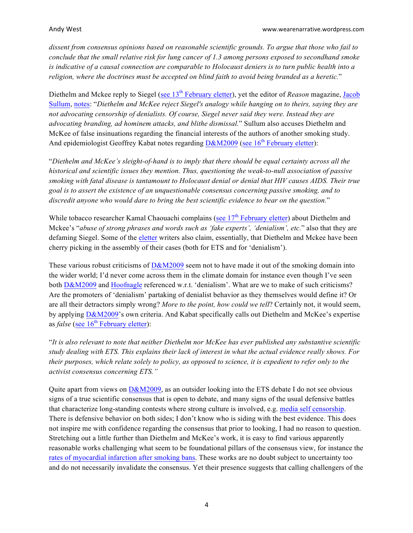*dissent from consensus opinions based on reasonable scientific grounds. To argue that those who fail to conclude that the small relative risk for lung cancer of 1.3 among persons exposed to secondhand smoke is indicative of a causal connection are comparable to Holocaust deniers is to turn public health into a religion, where the doctrines must be accepted on blind faith to avoid being branded as a heretic.*"

Diethelm and Mckee reply to Siegel (see 13<sup>th</sup> [February](https://web.archive.org/web/20090621120535/http:/eurpub.oxfordjournals.org/cgi/eletters/19/1/2) eletter), yet the editor of *Reason* magazine, [Jacob](http://reason.com/people/jacob-sullum/all) [Sullum](http://reason.com/people/jacob-sullum/all), [notes](http://reason.com/blog/2009/02/13/if-you-question-the-deadliness): "*Diethelm and McKee reject Siegel's analogy while hanging on to theirs, saying they are not advocating censorship of denialists. Of course, Siegel never said they were. Instead they are advocating branding, ad hominem attacks, and blithe dismissal.*" Sullum also accuses Diethelm and McKee of false insinuations regarding the financial interests of the authors of another smoking study. And epidemiologist Geoffrey Kabat notes regarding  $D&M2009$  (see 16<sup>th</sup> [February](https://web.archive.org/web/20090621120535/http:/eurpub.oxfordjournals.org/cgi/eletters/19/1/2) eletter):

"*Diethelm and McKee's sleight-of-hand is to imply that there should be equal certainty across all the historical and scientific issues they mention. Thus, questioning the weak-to-null association of passive smoking with fatal disease is tantamount to Holocaust denial or denial that HIV causes AIDS. Their true goal is to assert the existence of an unquestionable consensus concerning passive smoking, and to discredit anyone who would dare to bring the best scientific evidence to bear on the question.*"

While tobacco researcher Kamal Chaouachi complains (see  $17<sup>th</sup>$  [February](https://web.archive.org/web/20090621120535/http:/eurpub.oxfordjournals.org/cgi/eletters/19/1/2) eletter) about Diethelm and Mckee's "*abuse of strong phrases and words such as 'fake experts', 'denialism', etc.*" also that they are defaming Siegel. Some of the [eletter](https://web.archive.org/web/20090621120535/http:/eurpub.oxfordjournals.org/cgi/eletters/19/1/2) writers also claim, essentially, that Diethelm and Mckee have been cherry picking in the assembly of their cases (both for ETS and for 'denialism').

These various robust criticisms of  $D\&M2009$  seem not to have made it out of the smoking domain into the wider world; I'd never come across them in the climate domain for instance even though I've seen both [D&M2009](http://eurpub.oxfordjournals.org/content/19/1/2) and [Hoofnagle](https://en.wikipedia.org/wiki/Mark_Hoofnagle) referenced w.r.t. 'denialism'. What are we to make of such criticisms? Are the promoters of 'denialism' partaking of denialist behavior as they themselves would define it? Or are all their detractors simply wrong? *More to the point, how could we tell*? Certainly not, it would seem, by applying [D&M2009](http://eurpub.oxfordjournals.org/content/19/1/2)'s own criteria. And Kabat specifically calls out Diethelm and McKee's expertise as *false* (see 16<sup>th</sup> [February eletter](https://web.archive.org/web/20090621120535/http:/eurpub.oxfordjournals.org/cgi/eletters/19/1/2)):

"*It is also relevant to note that neither Diethelm nor McKee has ever published any substantive scientific study dealing with ETS. This explains their lack of interest in what the actual evidence really shows. For their purposes, which relate solely to policy, as opposed to science, it is expedient to refer only to the activist consensus concerning ETS."*

Quite apart from views on  $D\&M2009$ , as an outsider looking into the ETS debate I do not see obvious signs of a true scientific consensus that is open to debate, and many signs of the usual defensive battles that characterize long-standing contests where strong culture is involved, e.g. [media self censorship](http://pus.sagepub.com/content/14/1/5.abstract). There is defensive behavior on both sides; I don't know who is siding with the best evidence. This does not inspire me with confidence regarding the consensus that prior to looking, I had no reason to question. Stretching out a little further than Diethelm and McKee's work, it is easy to find various apparently reasonable works challenging what seem to be foundational pillars of the consensus view, for instance the [rates of myocardial infarction after smoking bans](http://www.amjmed.com/article/S0002-9343%2813%2900837-1/fulltext#back-bib25). These works are no doubt subject to uncertainty too and do not necessarily invalidate the consensus. Yet their presence suggests that calling challengers of the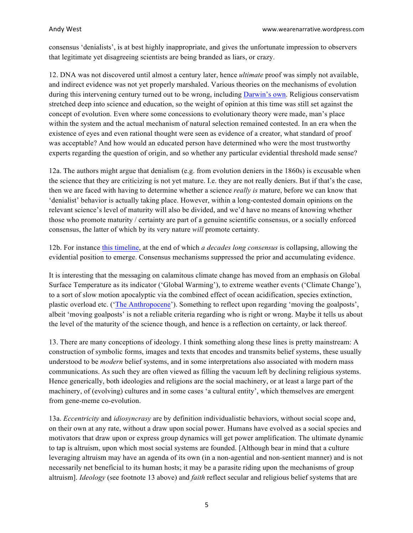consensus 'denialists', is at best highly inappropriate, and gives the unfortunate impression to observers that legitimate yet disagreeing scientists are being branded as liars, or crazy.

12. DNA was not discovered until almost a century later, hence *ultimate* proof was simply not available, and indirect evidence was not yet properly marshaled. Various theories on the mechanisms of evolution during this intervening century turned out to be wrong, including [Darwin's own](https://en.wikipedia.org/wiki/Gemmule_(pangenesis)). Religious conservatism stretched deep into science and education, so the weight of opinion at this time was still set against the concept of evolution. Even where some concessions to evolutionary theory were made, man's place within the system and the actual mechanism of natural selection remained contested. In an era when the existence of eyes and even rational thought were seen as evidence of a creator, what standard of proof was acceptable? And how would an educated person have determined who were the most trustworthy experts regarding the question of origin, and so whether any particular evidential threshold made sense?

12a. The authors might argue that denialism (e.g. from evolution deniers in the 1860s) is excusable when the science that they are criticizing is not yet mature. I.e. they are not really deniers. But if that's the case, then we are faced with having to determine whether a science *really is* mature, before we can know that 'denialist' behavior is actually taking place. However, within a long-contested domain opinions on the relevant science's level of maturity will also be divided, and we'd have no means of knowing whether those who promote maturity / certainty are part of a genuine scientific consensus, or a socially enforced consensus, the latter of which by its very nature *will* promote certainty.

12b. For instance [this timeline](http://www.dietheartpublishing.com/diet-heart-timeline), at the end of which *a decades long consensus* is collapsing, allowing the evidential position to emerge. Consensus mechanisms suppressed the prior and accumulating evidence.

It is interesting that the messaging on calamitous climate change has moved from an emphasis on Global Surface Temperature as its indicator ('Global Warming'), to extreme weather events ('Climate Change'), to a sort of slow motion apocalyptic via the combined effect of ocean acidification, species extinction, plastic overload etc. (['The Anthropocene](http://www.theguardian.com/environment/2016/jan/07/human-impact-has-pushed-earth-into-the-anthropocene-scientists-say)'). Something to reflect upon regarding 'moving the goalposts', albeit 'moving goalposts' is not a reliable criteria regarding who is right or wrong. Maybe it tells us about the level of the maturity of the science though, and hence is a reflection on certainty, or lack thereof.

13. There are many conceptions of ideology. I think something along these lines is pretty mainstream: A construction of symbolic forms, images and texts that encodes and transmits belief systems, these usually understood to be *modern* belief systems, and in some interpretations also associated with modern mass communications. As such they are often viewed as filling the vacuum left by declining religious systems. Hence generically, both ideologies and religions are the social machinery, or at least a large part of the machinery, of (evolving) cultures and in some cases 'a cultural entity', which themselves are emergent from gene-meme co-evolution.

13a. *Eccentricity* and *idiosyncrasy* are by definition individualistic behaviors, without social scope and, on their own at any rate, without a draw upon social power. Humans have evolved as a social species and motivators that draw upon or express group dynamics will get power amplification. The ultimate dynamic to tap is altruism, upon which most social systems are founded. [Although bear in mind that a culture leveraging altruism may have an agenda of its own (in a non-agential and non-sentient manner) and is not necessarily net beneficial to its human hosts; it may be a parasite riding upon the mechanisms of group altruism]. *Ideology* (see footnote 13 above) and *faith* reflect secular and religious belief systems that are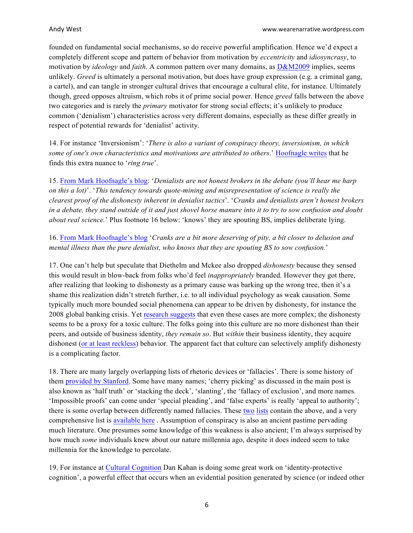founded on fundamental social mechanisms, so do receive powerful amplification. Hence we'd expect a completely different scope and pattern of behavior from motivation by *eccentricity* and *idiosyncrasy*, to motivation by *ideology* and *faith*. A common pattern over many domains, as [D&M2009](http://eurpub.oxfordjournals.org/content/19/1/2) implies, seems unlikely. *Greed* is ultimately a personal motivation, but does have group expression (e.g. a criminal gang, a cartel), and can tangle in stronger cultural drives that encourage a cultural elite, for instance. Ultimately though, greed opposes altruism, which robs it of prime social power. Hence *greed* falls between the above two categories and is rarely the *primary* motivator for strong social effects; it's unlikely to produce common ('denialism') characteristics across very different domains, especially as these differ greatly in respect of potential rewards for 'denialist' activity.

14. For instance 'Inversionism': '*There is also a variant of conspiracy theory, inversionism, in which some of one's own characteristics and motivations are attributed to others*.' [Hoofnagle writes](http://scienceblogs.com/denialism/about/) that he finds this extra nuance to '*ring true*'.

15. [From Mark Hoofnagle's blog](http://scienceblogs.com/denialism/about/): '*Denialists are not honest brokers in the debate (you'll hear me harp on this a lot)*'. '*This tendency towards quote-mining and misrepresentation of science is really the clearest proof of the dishonesty inherent in denialist tactics*'. '*Cranks and denialists aren't honest brokers in a debate, they stand outside of it and just shovel horse manure into it to try to sow confusion and doubt about real science.*' Plus footnote 16 below: 'knows' they are spouting BS, implies deliberate lying.

16. [From Mark Hoofnagle's blog](http://scienceblogs.com/denialism/about/) '*Cranks are a bit more deserving of pity, a bit closer to delusion and mental illness than the pure denialist, who knows that they are spouting BS to sow confusion.*'

17. One can't help but speculate that Diethelm and Mckee also dropped *dishonesty* because they sensed this would result in blow-back from folks who'd feel *inappropriately* branded. However they got there, after realizing that looking to dishonesty as a primary cause was barking up the wrong tree, then it's a shame this realization didn't stretch further, i.e. to all individual psychology as weak causation. Some typically much more bounded social phenomena can appear to be driven by dishonesty, for instance the 2008 global banking crisis. Yet [research suggests](https://www.sciencedaily.com/releases/2014/11/141119132524.htm) that even these cases are more complex; the dishonesty seems to be a proxy for a toxic culture. The folks going into this culture are no more dishonest than their peers, and outside of business identity, *they remain so*. But *within* their business identity, they acquire dishonest [\(or at least reckless](https://www.trainingjournal.com/articles/opinion/would-%E2%80%98banking-oath%E2%80%99-help-stop-reckless-behaviour-banks)) behavior. The apparent fact that culture can selectively amplify dishonesty is a complicating factor.

18. There are many largely overlapping lists of rhetoric devices or 'fallacies'. There is some history of them [provided by Stanford](http://plato.stanford.edu/entries/fallacies/). Some have many names; 'cherry picking' as discussed in the main post is also known as 'half truth' or 'stacking the deck', 'slanting', the 'fallacy of exclusion', and more names. 'Impossible proofs' can come under 'special pleading', and 'false experts' is really 'appeal to authority'; there is some overlap between differently named fallacies. These [two](http://www.theskepticsguide.org/resources/logical-fallacies) [lists](http://utminers.utep.edu/omwilliamson/ENGL1311/fallacies.htm) contain the above, and a very comprehensive list is [available here](http://www.don-lindsay-archive.org/skeptic/arguments.html) . Assumption of conspiracy is also an ancient pastime pervading much literature. One presumes some knowledge of this weakness is also ancient; I'm always surprised by how much *some* individuals knew about our nature millennia ago, despite it does indeed seem to take millennia for the knowledge to percolate.

19. For instance at [Cultural Cognition](http://www.culturalcognition.net/blog/) Dan Kahan is doing some great work on 'identity-protective cognition', a powerful effect that occurs when an evidential position generated by science (or indeed other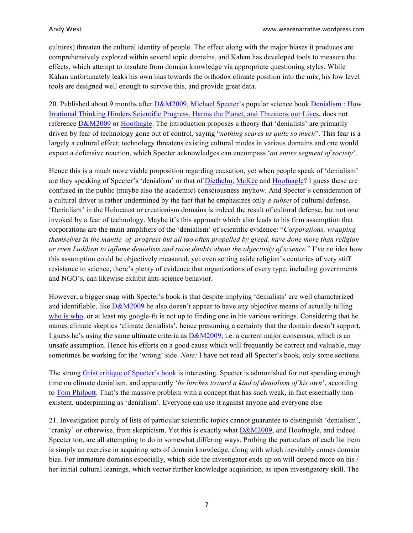cultures) threaten the cultural identity of people. The effect along with the major biases it produces are comprehensively explored within several topic domains, and Kahan has developed tools to measure the effects, which attempt to insulate from domain knowledge via appropriate questioning styles. While Kahan unfortunately leaks his own bias towards the orthodox climate position into the mix, his low level tools are designed well enough to survive this, and provide great data.

20. Published about 9 months after [D&M2009](http://eurpub.oxfordjournals.org/content/19/1/2), [Michael Specter](https://en.wikipedia.org/wiki/Michael_Specter)'s popular science book [Denialism : How](http://www.amazon.com/Denialism-Irrational-Thinking-Scientific-Progress/dp/1594202303) [Irrational Thinking Hinders Scientific Progress, Harms the Planet, and Threatens our Lives](http://www.amazon.com/Denialism-Irrational-Thinking-Scientific-Progress/dp/1594202303), does not reference [D&M2009](http://eurpub.oxfordjournals.org/content/19/1/2) or [Hoofnagle](https://en.wikipedia.org/wiki/Mark_Hoofnagle). The introduction proposes a theory that 'denialists' are primarily driven by fear of technology gone out of control, saying "*nothing scares us quite so much*". This fear is a largely a cultural effect; technology threatens existing cultural modes in various domains and one would expect a defensive reaction, which Specter acknowledges can encompass '*an entire segment of society*'.

Hence this is a much more viable proposition regarding causation, yet when people speak of 'denialism' are they speaking of Specter's 'denialism' or that of [Diethelm](https://translate.google.co.uk/translate?hl=en&sl=fr&u=https://fr.wikipedia.org/wiki/Pascal_Diethelm&prev=search), [McKee](https://en.wikipedia.org/wiki/Martin_McKee) and [Hoofnagle](https://en.wikipedia.org/wiki/Mark_Hoofnagle)? I guess these are confused in the public (maybe also the academic) consciousness anyhow. And Specter's consideration of a cultural driver is rather undermined by the fact that he emphasizes only *a subset* of cultural defense. 'Denialism' in the Holocaust or creationism domains is indeed the result of cultural defense, but not one invoked by a fear of technology. Maybe it's this approach which also leads to his firm assumption that corporations are the main amplifiers of the 'denialism' of scientific evidence: "*Corporations, wrapping themselves in the mantle of progress but all too often propelled by greed, have done more than religion or even Luddism to inflame denialists and raise doubts about the objectivity of science.*" I've no idea how this assumption could be objectively measured, yet even setting aside religion's centuries of very stiff resistance to science, there's plenty of evidence that organizations of every type, including governments and NGO's, can likewise exhibit anti-science behavior.

However, a bigger snag with Specter's book is that despite implying 'denialists' are well characterized and identifiable, like [D&M2009](http://eurpub.oxfordjournals.org/content/19/1/2) he also doesn't appear to have any objective means of actually telling [who is who](https://curryja.files.wordpress.com/2015/11/who-is-who-aux-file.docx), or at least my google-fu is not up to finding one in his various writings. Considering that he names climate skeptics 'climate denialists', hence presuming a certainty that the domain doesn't support, I guess he's using the same ultimate criteria as [D&M2009](http://eurpub.oxfordjournals.org/content/19/1/2), i.e. a current major consensus, which is an unsafe assumption. Hence his efforts on a good cause which will frequently be correct and valuable, may sometimes be working for the 'wrong' side. *Note:* I have not read all Specter's book, only some sections.

The strong [Grist critique of Specter's book](http://grist.org/article/2009-10-31-michael-specter-denialism-organic-gmo/) is interesting. Specter is admonished for not spending enough time on climate denialism, and apparently '*he lurches toward a kind of denialism of his own*', according to [Tom Philpott](http://grist.org/author/tom-philpott/). That's the massive problem with a concept that has such weak, in fact essentially nonexistent, underpinning as 'denialism'. Everyone can use it against anyone and everyone else.

21. Investigation purely of lists of particular scientific topics cannot guarantee to distinguish 'denialism', 'cranky' or otherwise, from skepticism. Yet this is exactly what [D&M2009](http://eurpub.oxfordjournals.org/content/19/1/2), and Hoofnagle, and indeed Specter too, are all attempting to do in somewhat differing ways. Probing the particulars of each list item is simply an exercise in acquiring sets of domain knowledge, along with which inevitably comes domain bias. For immature domains especially, which side the investigator ends up on will depend more on his / her initial cultural leanings, which vector further knowledge acquisition, as upon investigatory skill. The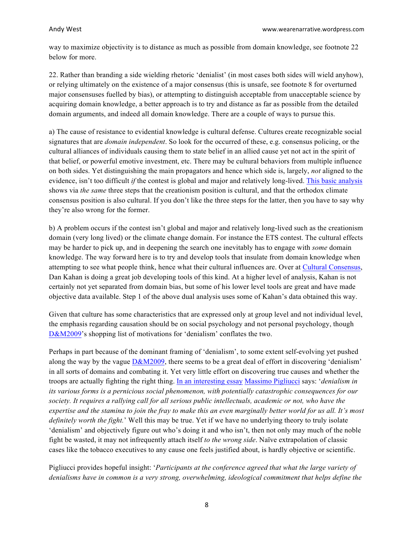way to maximize objectivity is to distance as much as possible from domain knowledge, see footnote 22 below for more.

22. Rather than branding a side wielding rhetoric 'denialist' (in most cases both sides will wield anyhow), or relying ultimately on the existence of a major consensus (this is unsafe, see footnote 8 for overturned major consensuses fuelled by bias), or attempting to distinguish acceptable from unacceptable science by acquiring domain knowledge, a better approach is to try and distance as far as possible from the detailed domain arguments, and indeed all domain knowledge. There are a couple of ways to pursue this.

a) The cause of resistance to evidential knowledge is cultural defense. Cultures create recognizable social signatures that are *domain independent*. So look for the occurred of these, e.g. consensus policing, or the cultural alliances of individuals causing them to state belief in an allied cause yet not act in the spirit of that belief, or powerful emotive investment, etc. There may be cultural behaviors from multiple influence on both sides. Yet distinguishing the main propagators and hence which side is, largely, *not* aligned to the evidence, isn't too difficult *if* the contest is global and major and relatively long-lived. [This basic analysis](https://curryja.files.wordpress.com/2015/11/who-is-who-aux-file.docx) shows via *the same* three steps that the creationism position is cultural, and that the orthodox climate consensus position is also cultural. If you don't like the three steps for the latter, then you have to say why they're also wrong for the former.

b) A problem occurs if the contest isn't global and major and relatively long-lived such as the creationism domain (very long lived) or the climate change domain. For instance the ETS contest. The cultural effects may be harder to pick up, and in deepening the search one inevitably has to engage with *some* domain knowledge. The way forward here is to try and develop tools that insulate from domain knowledge when attempting to see what people think, hence what their cultural influences are. Over at [Cultural Consensus](http://www.culturalcognition.net/blog/), Dan Kahan is doing a great job developing tools of this kind. At a higher level of analysis, Kahan is not certainly not yet separated from domain bias, but some of his lower level tools are great and have made objective data available. Step 1 of the above dual analysis uses some of Kahan's data obtained this way.

Given that culture has some characteristics that are expressed only at group level and not individual level, the emphasis regarding causation should be on social psychology and not personal psychology, though [D&M2009](http://eurpub.oxfordjournals.org/content/19/1/2)'s shopping list of motivations for 'denialism' conflates the two.

Perhaps in part because of the dominant framing of 'denialism', to some extent self-evolving yet pushed along the way by the vague [D&M2009](http://eurpub.oxfordjournals.org/content/19/1/2), there seems to be a great deal of effort in discovering 'denialism' in all sorts of domains and combating it. Yet very little effort on discovering true causes and whether the troops are actually fighting the right thing. [In an interesting essay](https://scientiasalon.wordpress.com/2014/10/28/the-varieties-of-denialism/) [Massimo Pigliucci](https://platofootnote.wordpress.com/massimo-central/) says: '*denialism in its various forms is a pernicious social phenomenon, with potentially catastrophic consequences for our society. It requires a rallying call for all serious public intellectuals, academic or not, who have the expertise and the stamina to join the fray to make this an even marginally better world for us all. It's most definitely worth the fight.*' Well this may be true. Yet if we have no underlying theory to truly isolate 'denialism' and objectively figure out who's doing it and who isn't, then not only may much of the noble fight be wasted, it may not infrequently attach itself *to the wrong side*. Naïve extrapolation of classic cases like the tobacco executives to any cause one feels justified about, is hardly objective or scientific.

Pigliucci provides hopeful insight: '*Participants at the conference agreed that what the large variety of denialisms have in common is a very strong, overwhelming, ideological commitment that helps define the*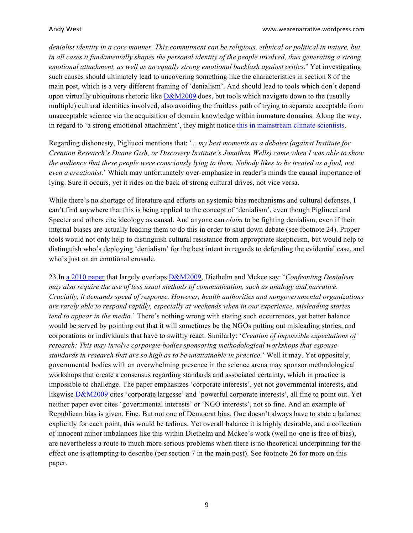*denialist identity in a core manner. This commitment can be religious, ethnical or political in nature, but in all cases it fundamentally shapes the personal identity of the people involved, thus generating a strong emotional attachment, as well as an equally strong emotional backlash against critics.*' Yet investigating such causes should ultimately lead to uncovering something like the characteristics in section 8 of the main post, which is a very different framing of 'denialism'. And should lead to tools which don't depend upon virtually ubiquitous rhetoric like  $D\&M2009$  does, but tools which navigate down to the (usually multiple) cultural identities involved, also avoiding the fruitless path of trying to separate acceptable from unacceptable science via the acquisition of domain knowledge within immature domains. Along the way, in regard to 'a strong emotional attachment', they might notice this in mainstream climate scientists.

Regarding dishonesty, Pigliucci mentions that: '*…my best moments as a debater (against Institute for Creation Research's Duane Gish, or Discovery Institute's Jonathan Wells) came when I was able to show the audience that these people were consciously lying to them. Nobody likes to be treated as a fool, not even a creationist.*' Which may unfortunately over-emphasize in reader's minds the causal importance of lying. Sure it occurs, yet it rides on the back of strong cultural drives, not vice versa.

While there's no shortage of literature and efforts on systemic bias mechanisms and cultural defenses, I can't find anywhere that this is being applied to the concept of 'denialism', even though Pigliucci and Specter and others cite ideology as causal. And anyone can *claim* to be fighting denialism, even if their internal biases are actually leading them to do this in order to shut down debate (see footnote 24). Proper tools would not only help to distinguish cultural resistance from appropriate skepticism, but would help to distinguish who's deploying 'denialism' for the best intent in regards to defending the evidential case, and who's just on an emotional crusade.

23.In [a 2010 paper](http://researchonline.lshtm.ac.uk/1874/1/How the growth of denialism undermines public health _ The BMJ.pdf) that largely overlaps [D&M2009](http://eurpub.oxfordjournals.org/content/19/1/2), Diethelm and Mckee say: '*Confronting Denialism may also require the use of less usual methods of communication, such as analogy and narrative. Crucially, it demands speed of response. However, health authorities and nongovernmental organizations are rarely able to respond rapidly, especially at weekends when in our experience, misleading stories tend to appear in the media.*' There's nothing wrong with stating such occurrences, yet better balance would be served by pointing out that it will sometimes be the NGOs putting out misleading stories, and corporations or individuals that have to swiftly react. Similarly: '*Creation of impossible expectations of research: This may involve corporate bodies sponsoring methodological workshops that espouse standards in research that are so high as to be unattainable in practice.*' Well it may. Yet oppositely, governmental bodies with an overwhelming presence in the science arena may sponsor methodological workshops that create a consensus regarding standards and associated certainty, which in practice is impossible to challenge. The paper emphasizes 'corporate interests', yet not governmental interests, and likewise [D&M2009](http://eurpub.oxfordjournals.org/content/19/1/2) cites 'corporate largesse' and 'powerful corporate interests', all fine to point out. Yet neither paper ever cites 'governmental interests' or 'NGO interests', not so fine. And an example of Republican bias is given. Fine. But not one of Democrat bias. One doesn't always have to state a balance explicitly for each point, this would be tedious. Yet overall balance it is highly desirable, and a collection of innocent minor imbalances like this within Diethelm and Mckee's work (well no-one is free of bias), are nevertheless a route to much more serious problems when there is no theoretical underpinning for the effect one is attempting to describe (per section 7 in the main post). See footnote 26 for more on this paper.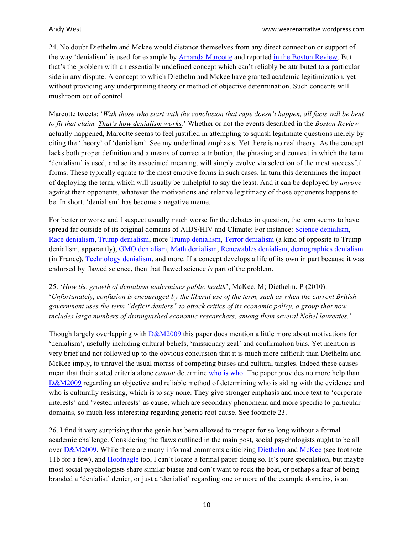24. No doubt Diethelm and Mckee would distance themselves from any direct connection or support of the way 'denialism' is used for example by [Amanda Marcotte](https://twitter.com/AmandaMarcotte) and reported [in the Boston Review](http://bostonreview.net/blog/judith-levine-uva-rape-denialism-rolling-stone-hoax-feminism). But that's the problem with an essentially undefined concept which can't reliably be attributed to a particular side in any dispute. A concept to which Diethelm and Mckee have granted academic legitimization, yet without providing any underpinning theory or method of objective determination. Such concepts will mushroom out of control.

Marcotte tweets: '*With those who start with the conclusion that rape doesn't happen, all facts will be bent to fit that claim. That's how denialism works.*' Whether or not the events described in the *Boston Review* actually happened, Marcotte seems to feel justified in attempting to squash legitimate questions merely by citing the 'theory' of 'denialism'. See my underlined emphasis. Yet there is no real theory. As the concept lacks both proper definition and a means of correct attribution, the phrasing and context in which the term 'denialism' is used, and so its associated meaning, will simply evolve via selection of the most successful forms. These typically equate to the most emotive forms in such cases. In turn this determines the impact of deploying the term, which will usually be unhelpful to say the least. And it can be deployed by *anyone* against their opponents, whatever the motivations and relative legitimacy of those opponents happens to be. In short, 'denialism' has become a negative meme.

For better or worse and I suspect usually much worse for the debates in question, the term seems to have spread far outside of its original domains of AIDS/HIV and Climate: For instance: [Science denialism](http://www.forbes.com/sites/gmoanswers/2016/02/18/why-science-denialism-costing-fortune/#1d8af4873481), [Race denialism](http://en.metapedia.org/wiki/Race_denialism), [Trump denialism](https://newrepublic.com/article/124632/gop-finally-emerging-trump-denialism), more [Trump denialism](https://overland.org.au/2016/03/the-dangers-of-trump-denialism/), [Terror denialism](http://dailycaller.com/2015/12/14/when-it-comes-to-terror-denialism-silence-death/) (a kind of opposite to Trump denialism, apparantly), [GMO denialism](http://blogs.discovermagazine.com/collideascape/2014/08/07/vaccine-gmo-denial-treated-equally/#.VwZbH5wrLcs), [Math denialism](http://boingboing.net/2016/02/24/math-denialism-crypto-backdoo.html), [Renewables denialism](http://order-order.com/2015/12/17/guardian-goes-nuclear-on-renewables-denialists/), [demographics denialism](http://www.meforum.org/5909/quarter-of-french-teenagers-are-muslim) (in France), [Technology denialism](http://www.adamdorr.com/), and more. If a concept develops a life of its own in part because it was endorsed by flawed science, then that flawed science *is* part of the problem.

25. '*How the growth of denialism undermines public health*', McKee, M; Diethelm, P (2010): '*Unfortunately, confusion is encouraged by the liberal use of the term, such as when the current British government uses the term "deficit deniers" to attack critics of its economic policy, a group that now includes large numbers of distinguished economic researchers, among them several Nobel laureates.*'

Though largely overlapping with  $D\&M2009$  this paper does mention a little more about motivations for 'denialism', usefully including cultural beliefs, 'missionary zeal' and confirmation bias. Yet mention is very brief and not followed up to the obvious conclusion that it is much more difficult than Diethelm and McKee imply, to unravel the usual morass of competing biases and cultural tangles. Indeed these causes mean that their stated criteria alone *cannot* determine [who is who](https://curryja.files.wordpress.com/2015/11/who-is-who-aux-file.docx). The paper provides no more help than [D&M2009](http://eurpub.oxfordjournals.org/content/19/1/2) regarding an objective and reliable method of determining who is siding with the evidence and who is culturally resisting, which is to say none. They give stronger emphasis and more text to 'corporate interests' and 'vested interests' as cause, which are secondary phenomena and more specific to particular domains, so much less interesting regarding generic root cause. See footnote 23.

26. I find it very surprising that the genie has been allowed to prosper for so long without a formal academic challenge. Considering the flaws outlined in the main post, social psychologists ought to be all over [D&M2009](http://eurpub.oxfordjournals.org/content/19/1/2). While there are many informal comments criticizing [Diethelm](https://translate.google.co.uk/translate?hl=en&sl=fr&u=https://fr.wikipedia.org/wiki/Pascal_Diethelm&prev=search) and [McKee](https://en.wikipedia.org/wiki/Martin_McKee) (see footnote 11b for a few), and [Hoofnagle](https://en.wikipedia.org/wiki/Mark_Hoofnagle) too, I can't locate a formal paper doing so. It's pure speculation, but maybe most social psychologists share similar biases and don't want to rock the boat, or perhaps a fear of being branded a 'denialist' denier, or just a 'denialist' regarding one or more of the example domains, is an